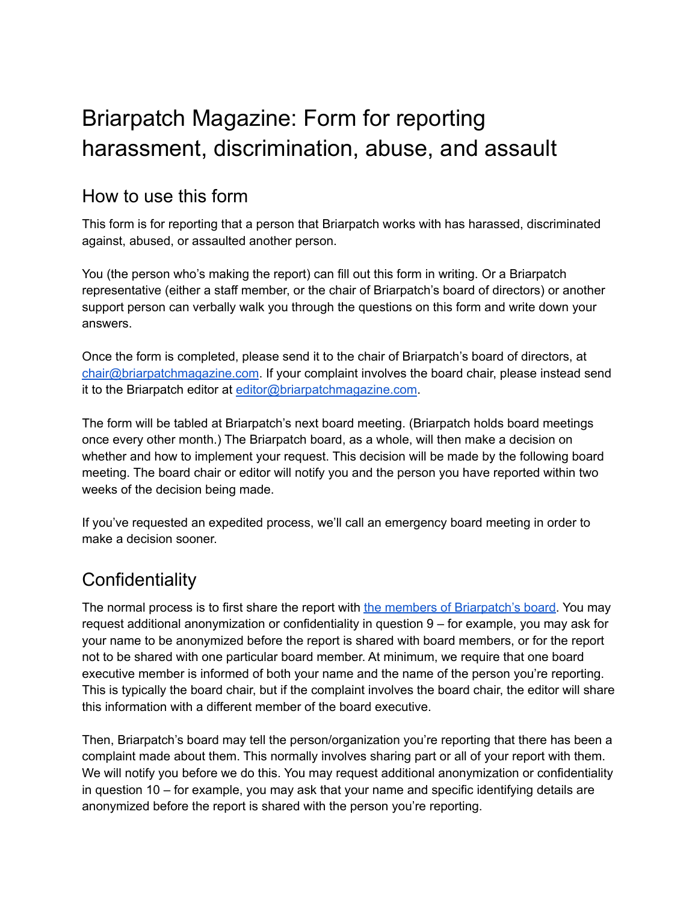# Briarpatch Magazine: Form for reporting harassment, discrimination, abuse, and assault

#### How to use this form

This form is for reporting that a person that Briarpatch works with has harassed, discriminated against, abused, or assaulted another person.

You (the person who's making the report) can fill out this form in writing. Or a Briarpatch representative (either a staff member, or the chair of Briarpatch's board of directors) or another support person can verbally walk you through the questions on this form and write down your answers.

Once the form is completed, please send it to the chair of Briarpatch's board of directors, at [chair@briarpatchmagazine.com](mailto:chair@briarpatchmagazine.com). If your complaint involves the board chair, please instead send it to the Briarpatch editor at [editor@briarpatchmagazine.com](mailto:editor@briarpatchmagazine.com).

The form will be tabled at Briarpatch's next board meeting. (Briarpatch holds board meetings once every other month.) The Briarpatch board, as a whole, will then make a decision on whether and how to implement your request. This decision will be made by the following board meeting. The board chair or editor will notify you and the person you have reported within two weeks of the decision being made.

If you've requested an expedited process, we'll call an emergency board meeting in order to make a decision sooner.

# **Confidentiality**

The normal process is to first share the report with the members of [Briarpatch's](https://briarpatchmagazine.com/masthead) board. You may request additional anonymization or confidentiality in question 9 – for example, you may ask for your name to be anonymized before the report is shared with board members, or for the report not to be shared with one particular board member. At minimum, we require that one board executive member is informed of both your name and the name of the person you're reporting. This is typically the board chair, but if the complaint involves the board chair, the editor will share this information with a different member of the board executive.

Then, Briarpatch's board may tell the person/organization you're reporting that there has been a complaint made about them. This normally involves sharing part or all of your report with them. We will notify you before we do this. You may request additional anonymization or confidentiality in question 10 – for example, you may ask that your name and specific identifying details are anonymized before the report is shared with the person you're reporting.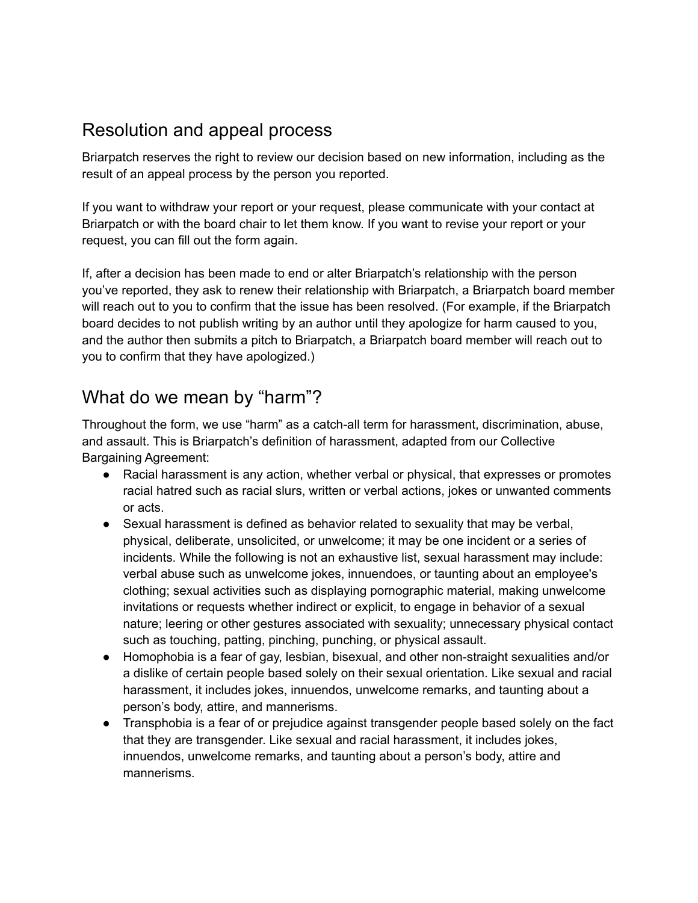### Resolution and appeal process

Briarpatch reserves the right to review our decision based on new information, including as the result of an appeal process by the person you reported.

If you want to withdraw your report or your request, please communicate with your contact at Briarpatch or with the board chair to let them know. If you want to revise your report or your request, you can fill out the form again.

If, after a decision has been made to end or alter Briarpatch's relationship with the person you've reported, they ask to renew their relationship with Briarpatch, a Briarpatch board member will reach out to you to confirm that the issue has been resolved. (For example, if the Briarpatch board decides to not publish writing by an author until they apologize for harm caused to you, and the author then submits a pitch to Briarpatch, a Briarpatch board member will reach out to you to confirm that they have apologized.)

### What do we mean by "harm"?

Throughout the form, we use "harm" as a catch-all term for harassment, discrimination, abuse, and assault. This is Briarpatch's definition of harassment, adapted from our Collective Bargaining Agreement:

- Racial harassment is any action, whether verbal or physical, that expresses or promotes racial hatred such as racial slurs, written or verbal actions, jokes or unwanted comments or acts.
- Sexual harassment is defined as behavior related to sexuality that may be verbal, physical, deliberate, unsolicited, or unwelcome; it may be one incident or a series of incidents. While the following is not an exhaustive list, sexual harassment may include: verbal abuse such as unwelcome jokes, innuendoes, or taunting about an employee's clothing; sexual activities such as displaying pornographic material, making unwelcome invitations or requests whether indirect or explicit, to engage in behavior of a sexual nature; leering or other gestures associated with sexuality; unnecessary physical contact such as touching, patting, pinching, punching, or physical assault.
- Homophobia is a fear of gay, lesbian, bisexual, and other non-straight sexualities and/or a dislike of certain people based solely on their sexual orientation. Like sexual and racial harassment, it includes jokes, innuendos, unwelcome remarks, and taunting about a person's body, attire, and mannerisms.
- Transphobia is a fear of or prejudice against transgender people based solely on the fact that they are transgender. Like sexual and racial harassment, it includes jokes, innuendos, unwelcome remarks, and taunting about a person's body, attire and mannerisms.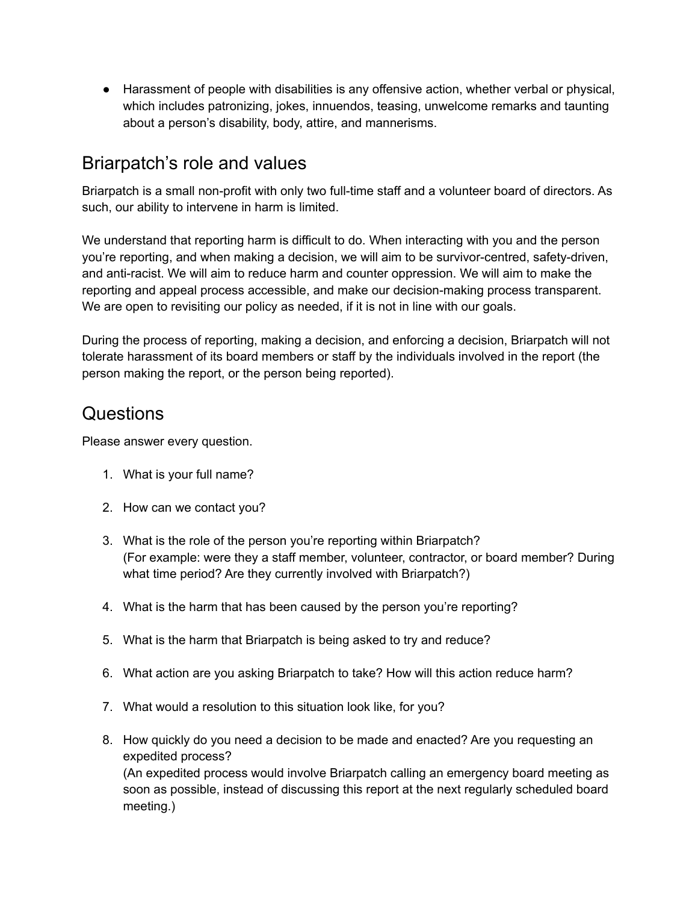● Harassment of people with disabilities is any offensive action, whether verbal or physical, which includes patronizing, jokes, innuendos, teasing, unwelcome remarks and taunting about a person's disability, body, attire, and mannerisms.

#### Briarpatch's role and values

Briarpatch is a small non-profit with only two full-time staff and a volunteer board of directors. As such, our ability to intervene in harm is limited.

We understand that reporting harm is difficult to do. When interacting with you and the person you're reporting, and when making a decision, we will aim to be survivor-centred, safety-driven, and anti-racist. We will aim to reduce harm and counter oppression. We will aim to make the reporting and appeal process accessible, and make our decision-making process transparent. We are open to revisiting our policy as needed, if it is not in line with our goals.

During the process of reporting, making a decision, and enforcing a decision, Briarpatch will not tolerate harassment of its board members or staff by the individuals involved in the report (the person making the report, or the person being reported).

## **Questions**

Please answer every question.

- 1. What is your full name?
- 2. How can we contact you?
- 3. What is the role of the person you're reporting within Briarpatch? (For example: were they a staff member, volunteer, contractor, or board member? During what time period? Are they currently involved with Briarpatch?)
- 4. What is the harm that has been caused by the person you're reporting?
- 5. What is the harm that Briarpatch is being asked to try and reduce?
- 6. What action are you asking Briarpatch to take? How will this action reduce harm?
- 7. What would a resolution to this situation look like, for you?
- 8. How quickly do you need a decision to be made and enacted? Are you requesting an expedited process? (An expedited process would involve Briarpatch calling an emergency board meeting as soon as possible, instead of discussing this report at the next regularly scheduled board

meeting.)